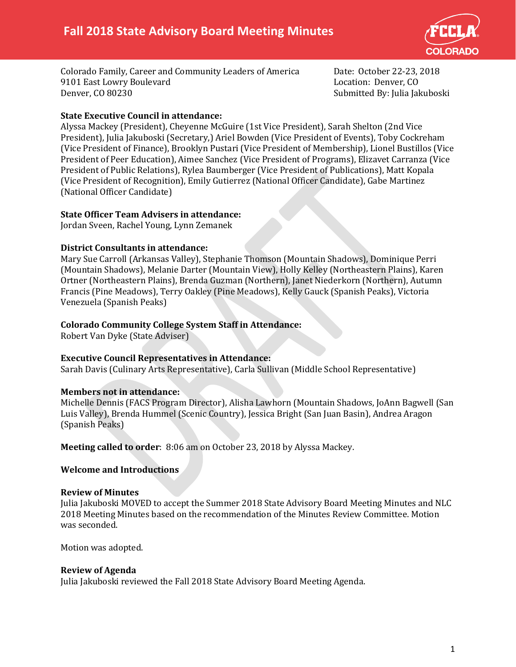

Colorado Family, Career and Community Leaders of America Date: October 22-23, 2018 9101 East Lowry Boulevard<br>Denver, CO 80230

Submitted By: Julia Jakuboski

## **State Executive Council in attendance:**

Alyssa Mackey (President), Cheyenne McGuire (1st Vice President), Sarah Shelton (2nd Vice President), Julia Jakuboski (Secretary,) Ariel Bowden (Vice President of Events), Toby Cockreham (Vice President of Finance), Brooklyn Pustari (Vice President of Membership), Lionel Bustillos (Vice President of Peer Education), Aimee Sanchez (Vice President of Programs), Elizavet Carranza (Vice President of Public Relations), Rylea Baumberger (Vice President of Publications), Matt Kopala (Vice President of Recognition), Emily Gutierrez (National Officer Candidate), Gabe Martinez (National Officer Candidate)

## **State Officer Team Advisers in attendance:**

Jordan Sveen, Rachel Young, Lynn Zemanek

## **District Consultants in attendance:**

Mary Sue Carroll (Arkansas Valley), Stephanie Thomson (Mountain Shadows), Dominique Perri (Mountain Shadows), Melanie Darter (Mountain View), Holly Kelley (Northeastern Plains), Karen Ortner (Northeastern Plains), Brenda Guzman (Northern), Janet Niederkorn (Northern), Autumn Francis (Pine Meadows), Terry Oakley (Pine Meadows), Kelly Gauck (Spanish Peaks), Victoria Venezuela (Spanish Peaks)

## **Colorado Community College System Staff in Attendance:**

Robert Van Dyke (State Adviser)

## **Executive Council Representatives in Attendance:**

Sarah Davis (Culinary Arts Representative), Carla Sullivan (Middle School Representative)

## **Members not in attendance:**

Michelle Dennis (FACS Program Director), Alisha Lawhorn (Mountain Shadows, JoAnn Bagwell (San Luis Valley), Brenda Hummel (Scenic Country), Jessica Bright (San Juan Basin), Andrea Aragon (Spanish Peaks)

**Meeting called to order**: 8:06 am on October 23, 2018 by Alyssa Mackey.

## **Welcome and Introductions**

#### **Review of Minutes**

Julia Jakuboski MOVED to accept the Summer 2018 State Advisory Board Meeting Minutes and NLC 2018 Meeting Minutes based on the recommendation of the Minutes Review Committee. Motion was seconded.

Motion was adopted.

#### **Review of Agenda**

Julia Jakuboski reviewed the Fall 2018 State Advisory Board Meeting Agenda.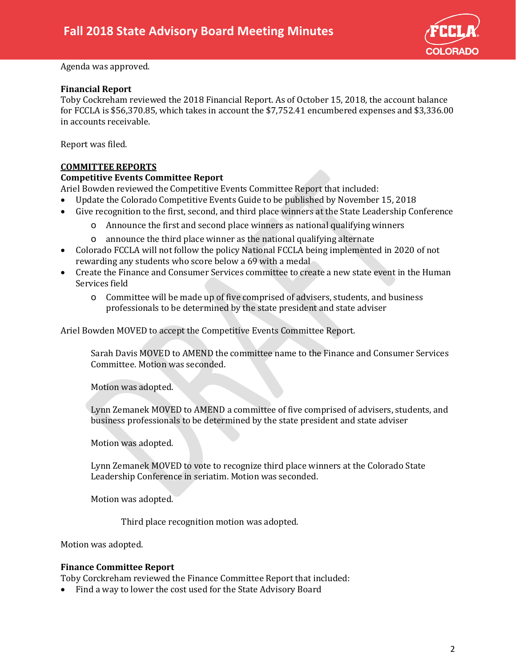

#### Agenda was approved.

#### **Financial Report**

Toby Cockreham reviewed the 2018 Financial Report. As of October 15, 2018, the account balance for FCCLA is \$56,370.85, which takes in account the \$7,752.41 encumbered expenses and \$3,336.00 in accounts receivable.

Report was filed.

## **COMMITTEE REPORTS**

#### **Competitive Events Committee Report**

Ariel Bowden reviewed the Competitive Events Committee Report that included:

- Update the Colorado Competitive Events Guide to be published by November 15, 2018
- Give recognition to the first, second, and third place winners at the State Leadership Conference
	- o Announce the first and second place winners as national qualifying winners
	- o announce the third place winner as the national qualifying alternate
- Colorado FCCLA will not follow the policy National FCCLA being implemented in 2020 of not rewarding any students who score below a 69 with a medal
- Create the Finance and Consumer Services committee to create a new state event in the Human Services field
	- o Committee will be made up of five comprised of advisers, students, and business professionals to be determined by the state president and state adviser

Ariel Bowden MOVED to accept the Competitive Events Committee Report.

Sarah Davis MOVED to AMEND the committee name to the Finance and Consumer Services Committee. Motion was seconded.

Motion was adopted.

Lynn Zemanek MOVED to AMEND a committee of five comprised of advisers, students, and business professionals to be determined by the state president and state adviser

Motion was adopted.

Lynn Zemanek MOVED to vote to recognize third place winners at the Colorado State Leadership Conference in seriatim. Motion was seconded.

Motion was adopted.

Third place recognition motion was adopted.

Motion was adopted.

#### **Finance Committee Report**

Toby Corckreham reviewed the Finance Committee Report that included:

• Find a way to lower the cost used for the State Advisory Board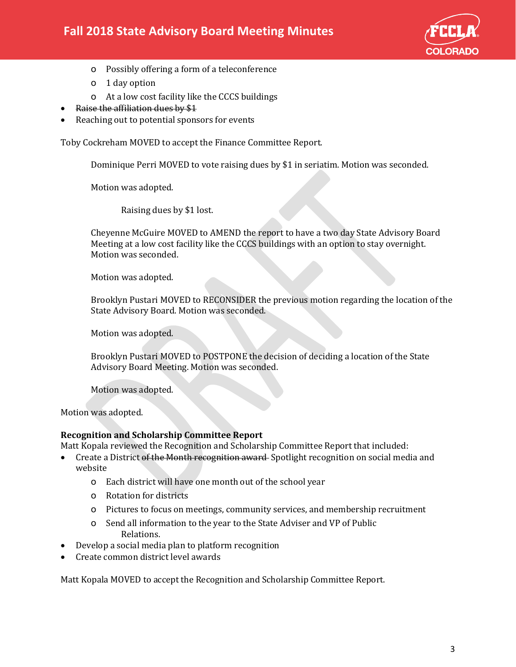

- o Possibly offering a form of a teleconference
- o 1 day option
- o At a low cost facility like the CCCS buildings
- Raise the affiliation dues by \$1
- Reaching out to potential sponsors for events

Toby Cockreham MOVED to accept the Finance Committee Report.

Dominique Perri MOVED to vote raising dues by \$1 in seriatim. Motion was seconded.

Motion was adopted.

Raising dues by \$1 lost.

Cheyenne McGuire MOVED to AMEND the report to have a two day State Advisory Board Meeting at a low cost facility like the CCCS buildings with an option to stay overnight. Motion was seconded.

Motion was adopted.

Brooklyn Pustari MOVED to RECONSIDER the previous motion regarding the location of the State Advisory Board. Motion was seconded.

Motion was adopted.

Brooklyn Pustari MOVED to POSTPONE the decision of deciding a location of the State Advisory Board Meeting. Motion was seconded.

Motion was adopted.

Motion was adopted.

## **Recognition and Scholarship Committee Report**

Matt Kopala reviewed the Recognition and Scholarship Committee Report that included:

- Create a District of the Month recognition award Spotlight recognition on social media and website
	- o Each district will have one month out of the school year
	- o Rotation for districts
	- o Pictures to focus on meetings, community services, and membership recruitment
	- o Send all information to the year to the State Adviser and VP of Public Relations.
- Develop a social media plan to platform recognition
- Create common district level awards

Matt Kopala MOVED to accept the Recognition and Scholarship Committee Report.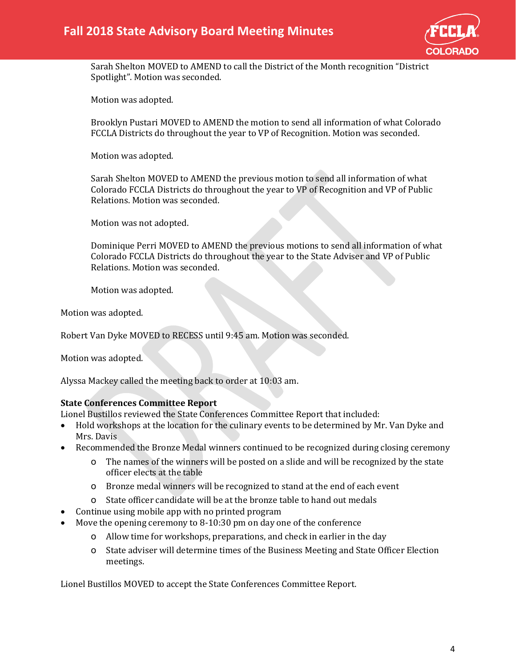

Sarah Shelton MOVED to AMEND to call the District of the Month recognition "District Spotlight". Motion was seconded.

Motion was adopted.

Brooklyn Pustari MOVED to AMEND the motion to send all information of what Colorado FCCLA Districts do throughout the year to VP of Recognition. Motion was seconded.

Motion was adopted.

Sarah Shelton MOVED to AMEND the previous motion to send all information of what Colorado FCCLA Districts do throughout the year to VP of Recognition and VP of Public Relations. Motion was seconded.

Motion was not adopted.

Dominique Perri MOVED to AMEND the previous motions to send all information of what Colorado FCCLA Districts do throughout the year to the State Adviser and VP of Public Relations. Motion was seconded.

Motion was adopted.

Motion was adopted.

Robert Van Dyke MOVED to RECESS until 9:45 am. Motion was seconded.

Motion was adopted.

Alyssa Mackey called the meeting back to order at 10:03 am.

#### **State Conferences Committee Report**

Lionel Bustillos reviewed the State Conferences Committee Report that included:<br>• Hold workshops at the location for the culinary events to be determined by M

- Hold workshops at the location for the culinary events to be determined by Mr. Van Dyke and Mrs. Davis
- Recommended the Bronze Medal winners continued to be recognized during closing ceremony
	- o The names of the winners will be posted on a slide and will be recognized by the state officer elects at the table
	- o Bronze medal winners will be recognized to stand at the end of each event
	- o State officer candidate will be at the bronze table to hand out medals
- Continue using mobile app with no printed program
- Move the opening ceremony to 8-10:30 pm on day one of the conference
	- o Allow time for workshops, preparations, and check in earlier in the day
	- o State adviser will determine times of the Business Meeting and State Officer Election meetings.

Lionel Bustillos MOVED to accept the State Conferences Committee Report.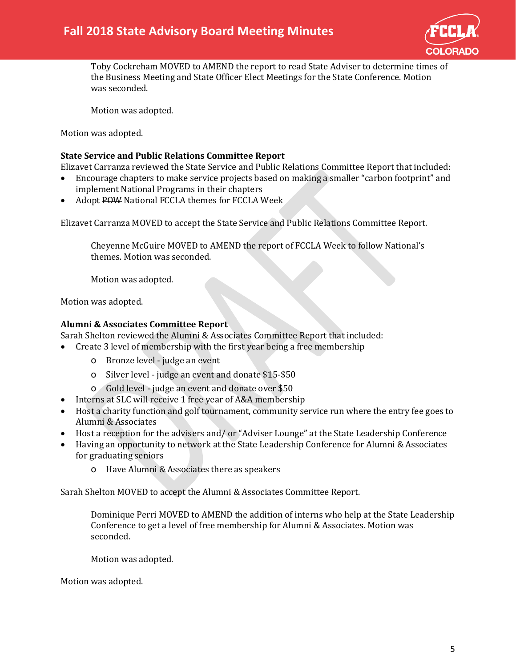

Toby Cockreham MOVED to AMEND the report to read State Adviser to determine times of the Business Meeting and State Officer Elect Meetings for the State Conference. Motion was seconded.

Motion was adopted.

Motion was adopted.

### **State Service and Public Relations Committee Report**

Elizavet Carranza reviewed the State Service and Public Relations Committee Report that included:

- Encourage chapters to make service projects based on making a smaller "carbon footprint" and implement National Programs in their chapters
- Adopt POW National FCCLA themes for FCCLA Week

Elizavet Carranza MOVED to accept the State Service and Public Relations Committee Report.

Cheyenne McGuire MOVED to AMEND the report of FCCLA Week to follow National's themes. Motion was seconded.

Motion was adopted.

Motion was adopted.

## **Alumni & Associates Committee Report**

Sarah Shelton reviewed the Alumni & Associates Committee Report that included:

- Create 3 level of membership with the first year being a free membership
	- o Bronze level judge an event
	- o Silver level judge an event and donate \$15-\$50
	- o Gold level judge an event and donate over \$50
- Interns at SLC will receive 1 free year of A&A membership
- Host a charity function and golf tournament, community service run where the entry fee goes to Alumni & Associates
- Host a reception for the advisers and/ or "Adviser Lounge" at the State Leadership Conference
- Having an opportunity to network at the State Leadership Conference for Alumni & Associates for graduating seniors
	- o Have Alumni & Associates there as speakers

Sarah Shelton MOVED to accept the Alumni & Associates Committee Report.

Dominique Perri MOVED to AMEND the addition of interns who help at the State Leadership Conference to get a level of free membership for Alumni & Associates. Motion was seconded.

Motion was adopted.

Motion was adopted.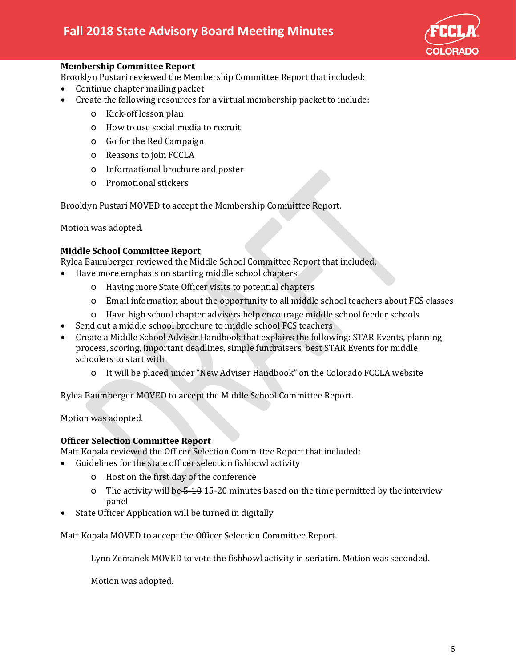

## **Membership Committee Report**

Brooklyn Pustari reviewed the Membership Committee Report that included:

- Continue chapter mailing packet
- Create the following resources for a virtual membership packet to include:
	- o Kick-off lesson plan
	- o How to use social media to recruit
	- o Go for the Red Campaign
	- o Reasons to join FCCLA
	- o Informational brochure and poster
	- o Promotional stickers

Brooklyn Pustari MOVED to accept the Membership Committee Report.

Motion was adopted.

## **Middle School Committee Report**

Rylea Baumberger reviewed the Middle School Committee Report that included:

- Have more emphasis on starting middle school chapters
	- o Having more State Officer visits to potential chapters
	- o Email information about the opportunity to all middle school teachers about FCS classes
	- o Have high school chapter advisers help encourage middle school feeder schools
- Send out a middle school brochure to middle school FCS teachers
- Create a Middle School Adviser Handbook that explains the following: STAR Events, planning process, scoring, important deadlines, simple fundraisers, best STAR Events for middle schoolers to start with
	- o It will be placed under "New Adviser Handbook" on the Colorado FCCLA website

Rylea Baumberger MOVED to accept the Middle School Committee Report.

Motion was adopted.

## **Officer Selection Committee Report**

Matt Kopala reviewed the Officer Selection Committee Report that included:

- Guidelines for the state officer selection fishbowl activity
	- o Host on the first day of the conference
	- o The activity will be 5-10 15-20 minutes based on the time permitted by the interview panel
- State Officer Application will be turned in digitally

Matt Kopala MOVED to accept the Officer Selection Committee Report.

Lynn Zemanek MOVED to vote the fishbowl activity in seriatim. Motion was seconded.

Motion was adopted.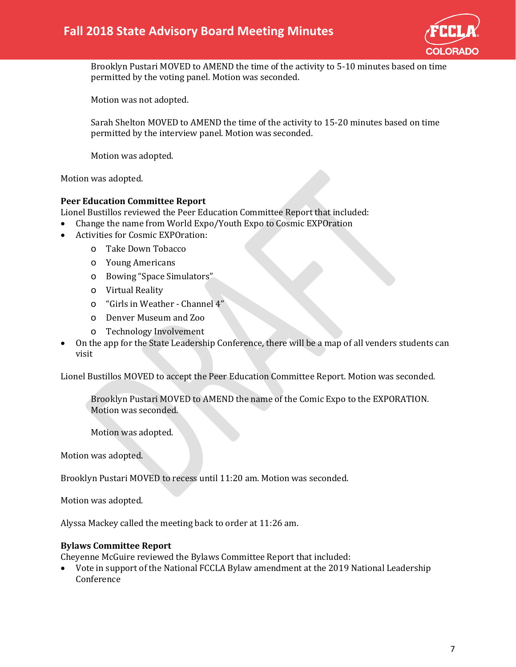

Brooklyn Pustari MOVED to AMEND the time of the activity to 5-10 minutes based on time permitted by the voting panel. Motion was seconded.

Motion was not adopted.

Sarah Shelton MOVED to AMEND the time of the activity to 15-20 minutes based on time permitted by the interview panel. Motion was seconded.

Motion was adopted.

Motion was adopted.

#### **Peer Education Committee Report**

Lionel Bustillos reviewed the Peer Education Committee Report that included:

- Change the name from World Expo/Youth Expo to Cosmic EXPOration
- Activities for Cosmic EXPOration:
	- o Take Down Tobacco
	- o Young Americans
	- o Bowing "Space Simulators"
	- o Virtual Reality
	- o "Girls in Weather Channel 4"
	- o Denver Museum and Zoo
	- o Technology Involvement
- On the app for the State Leadership Conference, there will be a map of all venders students can visit

Lionel Bustillos MOVED to accept the Peer Education Committee Report. Motion was seconded.

Brooklyn Pustari MOVED to AMEND the name of the Comic Expo to the EXPORATION. Motion was seconded.

Motion was adopted.

Motion was adopted.

Brooklyn Pustari MOVED to recess until 11:20 am. Motion was seconded.

Motion was adopted.

Alyssa Mackey called the meeting back to order at 11:26 am.

#### **Bylaws Committee Report**

Cheyenne McGuire reviewed the Bylaws Committee Report that included:

• Vote in support of the National FCCLA Bylaw amendment at the 2019 National Leadership Conference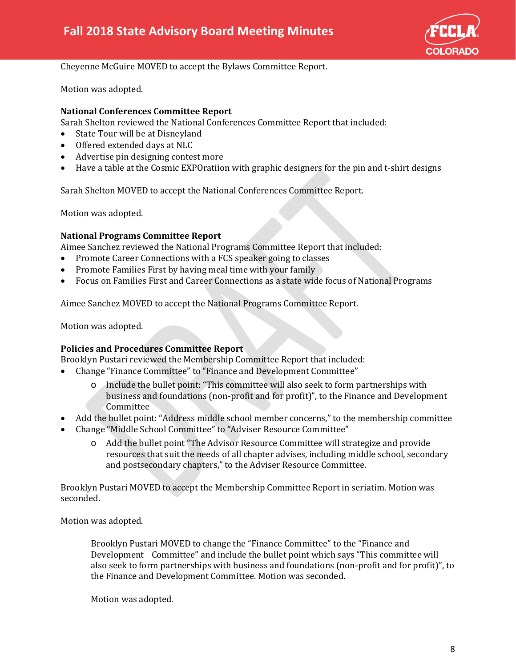

Cheyenne McGuire MOVED to accept the Bylaws Committee Report.

Motion was adopted.

### **National Conferences Committee Report**

Sarah Shelton reviewed the National Conferences Committee Report that included:<br>• State Tour will be at Disneyland

- State Tour will be at Disneyland
- Offered extended days at NLC
- Advertise pin designing contest more
- Have a table at the Cosmic EXPOratiion with graphic designers for the pin and t-shirt designs

Sarah Shelton MOVED to accept the National Conferences Committee Report.

Motion was adopted.

#### **National Programs Committee Report**

Aimee Sanchez reviewed the National Programs Committee Report that included:<br>• Promote Career Connections with a FCS speaker going to classes

- Promote Career Connections with a FCS speaker going to classes
- Promote Families First by having meal time with your family
- Focus on Families First and Career Connections as a state wide focus of National Programs

Aimee Sanchez MOVED to accept the National Programs Committee Report.

Motion was adopted.

#### **Policies and Procedures Committee Report**

Brooklyn Pustari reviewed the Membership Committee Report that included:

- Change "Finance Committee" to "Finance and Development Committee"
	- o Include the bullet point: "This committee will also seek to form partnerships with business and foundations (non-profit and for profit)", to the Finance and Development **Committee**
- Add the bullet point: "Address middle school member concerns," to the membership committee
- Change "Middle School Committee" to "Adviser Resource Committee"
	- o Add the bullet point "The Advisor Resource Committee will strategize and provide resources that suit the needs of all chapter advises, including middle school, secondary and postsecondary chapters," to the Adviser Resource Committee.

Brooklyn Pustari MOVED to accept the Membership Committee Report in seriatim. Motion was seconded.

Motion was adopted.

Brooklyn Pustari MOVED to change the "Finance Committee" to the "Finance and Development Committee" and include the bullet point which says "This committee will also seek to form partnerships with business and foundations (non-profit and for profit)", to the Finance and Development Committee. Motion was seconded.

Motion was adopted.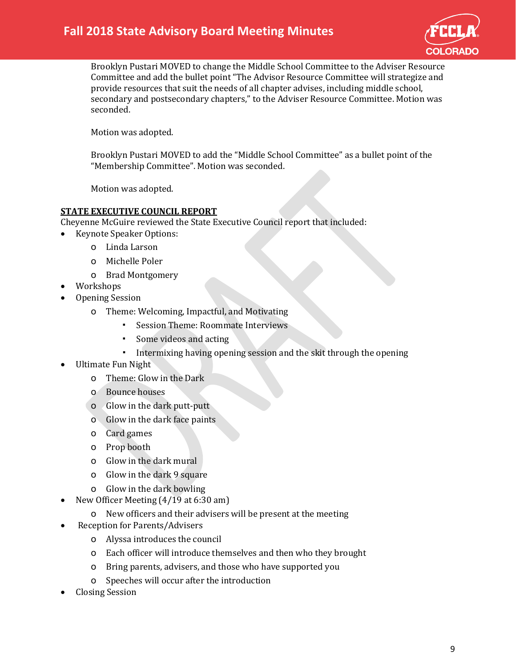

Brooklyn Pustari MOVED to change the Middle School Committee to the Adviser Resource Committee and add the bullet point "The Advisor Resource Committee will strategize and provide resources that suit the needs of all chapter advises, including middle school, secondary and postsecondary chapters," to the Adviser Resource Committee. Motion was seconded.

Motion was adopted.

Brooklyn Pustari MOVED to add the "Middle School Committee" as a bullet point of the "Membership Committee". Motion was seconded.

Motion was adopted.

## **STATE EXECUTIVE COUNCIL REPORT**

- Cheyenne McGuire reviewed the State Executive Council report that included:
	- Keynote Speaker Options:
		- o Linda Larson
		- o Michelle Poler
		- o Brad Montgomery
- Workshops
- Opening Session
	- o Theme: Welcoming, Impactful, and Motivating
		- Session Theme: Roommate Interviews
		- Some videos and acting
		- Intermixing having opening session and the skit through the opening
- Ultimate Fun Night
	- o Theme: Glow in the Dark
	- o Bounce houses
	- o Glow in the dark putt-putt
	- o Glow in the dark face paints
	- o Card games
	- o Prop booth
	- o Glow in the dark mural
	- o Glow in the dark 9 square
	- o Glow in the dark bowling
- New Officer Meeting (4/19 at 6:30 am)
	- o New officers and their advisers will be present at the meeting
- Reception for Parents/Advisers
	- o Alyssa introduces the council
	- o Each officer will introduce themselves and then who they brought
	- o Bring parents, advisers, and those who have supported you
	- o Speeches will occur after the introduction
- Closing Session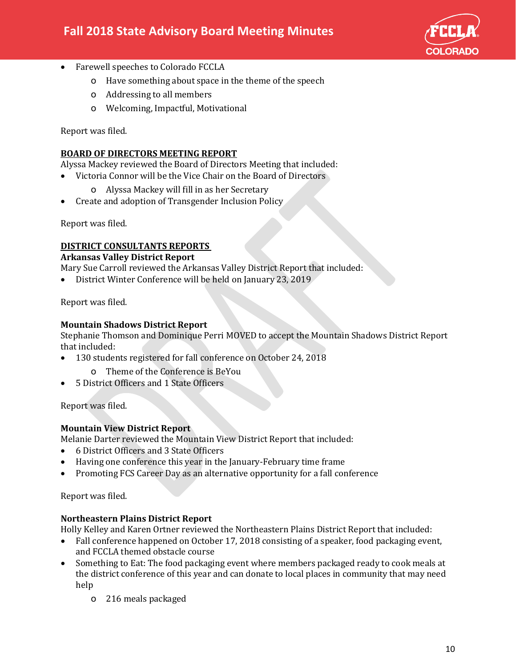

- Farewell speeches to Colorado FCCLA
	- o Have something about space in the theme of the speech
	- o Addressing to all members
	- o Welcoming, Impactful, Motivational

Report was filed.

### **BOARD OF DIRECTORS MEETING REPORT**

Alyssa Mackey reviewed the Board of Directors Meeting that included:

- Victoria Connor will be the Vice Chair on the Board of Directors
	- o Alyssa Mackey will fill in as her Secretary
- Create and adoption of Transgender Inclusion Policy

Report was filed.

#### **DISTRICT CONSULTANTS REPORTS**

#### **Arkansas Valley District Report**

Mary Sue Carroll reviewed the Arkansas Valley District Report that included:

• District Winter Conference will be held on January 23, 2019

Report was filed.

## **Mountain Shadows District Report**

Stephanie Thomson and Dominique Perri MOVED to accept the Mountain Shadows District Report that included:

- 130 students registered for fall conference on October 24, 2018
	- o Theme of the Conference is BeYou
- 5 District Officers and 1 State Officers

Report was filed.

## **Mountain View District Report**

Melanie Darter reviewed the Mountain View District Report that included:

- 6 District Officers and 3 State Officers
- Having one conference this year in the January-February time frame
- Promoting FCS Career Day as an alternative opportunity for a fall conference

Report was filed.

## **Northeastern Plains District Report**

Holly Kelley and Karen Ortner reviewed the Northeastern Plains District Report that included:

- Fall conference happened on October 17, 2018 consisting of a speaker, food packaging event, and FCCLA themed obstacle course
- Something to Eat: The food packaging event where members packaged ready to cook meals at the district conference of this year and can donate to local places in community that may need help
	- o 216 meals packaged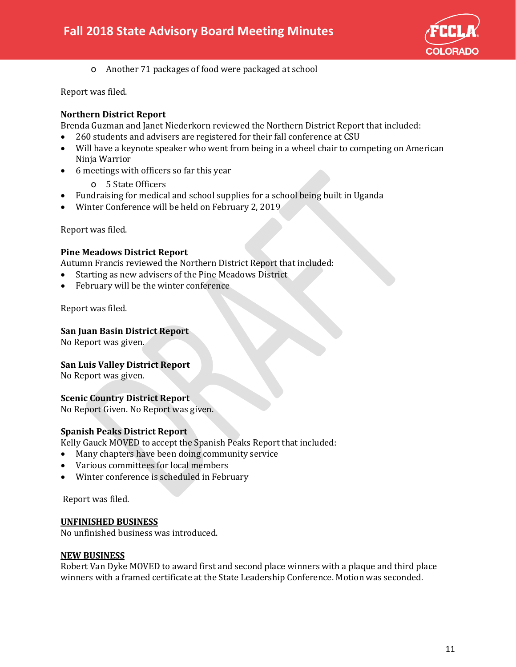

o Another 71 packages of food were packaged at school

Report was filed.

## **Northern District Report**

Brenda Guzman and Janet Niederkorn reviewed the Northern District Report that included:

- 260 students and advisers are registered for their fall conference at CSU
- Will have a keynote speaker who went from being in a wheel chair to competing on American Ninja Warrior
- 6 meetings with officers so far this year
	- o 5 State Officers
- Fundraising for medical and school supplies for a school being built in Uganda
- Winter Conference will be held on February 2, 2019

Report was filed.

#### **Pine Meadows District Report**

Autumn Francis reviewed the Northern District Report that included:

- Starting as new advisers of the Pine Meadows District
- February will be the winter conference

Report was filed.

#### **San Juan Basin District Report**

No Report was given.

#### **San Luis Valley District Report**

No Report was given.

#### **Scenic Country District Report**

No Report Given. No Report was given.

#### **Spanish Peaks District Report**

Kelly Gauck MOVED to accept the Spanish Peaks Report that included:

- Many chapters have been doing community service
- Various committees for local members
- Winter conference is scheduled in February

Report was filed.

#### **UNFINISHED BUSINESS**

No unfinished business was introduced.

#### **NEW BUSINESS**

Robert Van Dyke MOVED to award first and second place winners with a plaque and third place winners with a framed certificate at the State Leadership Conference. Motion was seconded.